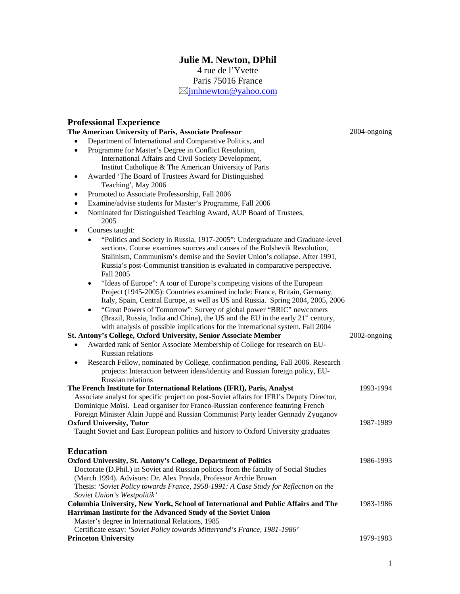# **Julie M. Newton, DPhil**  4 rue de l'Yvette

Paris 75016 France

 $\boxtimes$  imhnewton@yahoo.com

## **Professional Experience**

#### **The American University of Paris, Associate Professor**  • Department of International and Comparative Politics, and • Programme for Master's Degree in Conflict Resolution, International Affairs and Civil Society Development, Institut Catholique & The American University of Paris • Awarded 'The Board of Trustees Award for Distinguished Teaching', May 2006 • Promoted to Associate Professorship, Fall 2006 • Examine/advise students for Master's Programme, Fall 2006 • Nominated for Distinguished Teaching Award, AUP Board of Trustees, 2005 Courses taught: • "Politics and Society in Russia, 1917-2005": Undergraduate and Graduate-level sections. Course examines sources and causes of the Bolshevik Revolution, Stalinism, Communism's demise and the Soviet Union's collapse. After 1991, Russia's post-Communist transition is evaluated in comparative perspective. Fall 2005 • "Ideas of Europe": A tour of Europe's competing visions of the European Project (1945-2005): Countries examined include: France, Britain, Germany, Italy, Spain, Central Europe, as well as US and Russia. Spring 2004, 2005, 2006 • "Great Powers of Tomorrow": Survey of global power "BRIC" newcomers (Brazil, Russia, India and China), the US and the EU in the early  $21<sup>st</sup>$  century, with analysis of possible implications for the international system. Fall 2004 2004-ongoing **St. Antony's College, Oxford University, Senior Associate Member**  • Awarded rank of Senior Associate Membership of College for research on EU-Russian relations • Research Fellow, nominated by College, confirmation pending, Fall 2006. Research projects: Interaction between ideas/identity and Russian foreign policy, EU-Russian relations 2002-ongoing **The French Institute for International Relations (IFRI), Paris, Analyst**  Associate analyst for specific project on post-Soviet affairs for IFRI's Deputy Director, Dominique Moïsi. Lead organiser for Franco-Russian conference featuring French Foreign Minister Alain Juppé and Russian Communist Party leader Gennady Zyuganov 1993-1994 **Oxford University, Tutor** Taught Soviet and East European politics and history to Oxford University graduates 1987-1989 **Education Oxford University, St. Antony's College, Department of Politics**  Doctorate (D.Phil.) in Soviet and Russian politics from the faculty of Social Studies (March 1994). Advisors: Dr. Alex Pravda, Professor Archie Brown Thesis: *'Soviet Policy towards France, 1958-1991: A Case Study for Reflection on the Soviet Union's Westpolitik'*  1986-1993 **Columbia University, New York, School of International and Public Affairs and The Harriman Institute for the Advanced Study of the Soviet Union**  Master's degree in International Relations, 1985 Certificate essay: *'Soviet Policy towards Mitterrand's France, 1981-1986'* 1983-1986

## **Princeton University** 1979-1983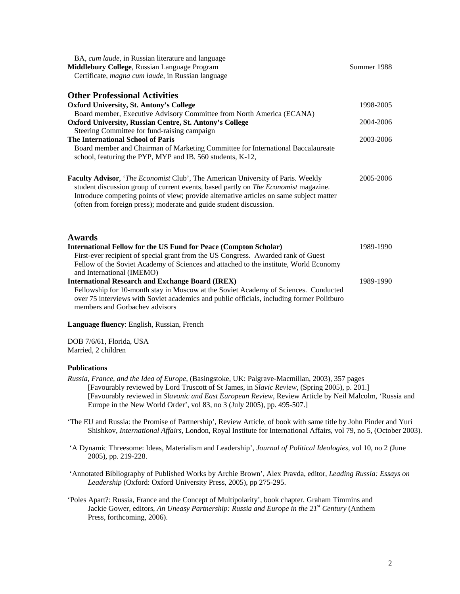| BA, cum laude, in Russian literature and language<br>Middlebury College, Russian Language Program<br>Certificate, magna cum laude, in Russian language                                                                                                                                                                                  | Summer 1988 |
|-----------------------------------------------------------------------------------------------------------------------------------------------------------------------------------------------------------------------------------------------------------------------------------------------------------------------------------------|-------------|
|                                                                                                                                                                                                                                                                                                                                         |             |
| <b>Oxford University, St. Antony's College</b>                                                                                                                                                                                                                                                                                          | 1998-2005   |
| Board member, Executive Advisory Committee from North America (ECANA)                                                                                                                                                                                                                                                                   |             |
| Oxford University, Russian Centre, St. Antony's College                                                                                                                                                                                                                                                                                 | 2004-2006   |
| Steering Committee for fund-raising campaign                                                                                                                                                                                                                                                                                            |             |
| <b>The International School of Paris</b>                                                                                                                                                                                                                                                                                                | 2003-2006   |
| Board member and Chairman of Marketing Committee for International Baccalaureate<br>school, featuring the PYP, MYP and IB. 560 students, K-12,                                                                                                                                                                                          |             |
| Faculty Advisor, 'The Economist Club', The American University of Paris. Weekly<br>student discussion group of current events, based partly on The Economist magazine.<br>Introduce competing points of view; provide alternative articles on same subject matter<br>(often from foreign press); moderate and guide student discussion. | 2005-2006   |
| Awards                                                                                                                                                                                                                                                                                                                                  |             |
| <b>International Fellow for the US Fund for Peace (Compton Scholar)</b>                                                                                                                                                                                                                                                                 | 1989-1990   |
| First-ever recipient of special grant from the US Congress. Awarded rank of Guest                                                                                                                                                                                                                                                       |             |
| Fellow of the Soviet Academy of Sciences and attached to the institute, World Economy<br>and International (IMEMO)                                                                                                                                                                                                                      |             |
| <b>International Research and Exchange Board (IREX)</b>                                                                                                                                                                                                                                                                                 | 1989-1990   |
| Fellowship for 10-month stay in Moscow at the Soviet Academy of Sciences. Conducted                                                                                                                                                                                                                                                     |             |
| over 75 interviews with Soviet academics and public officials, including former Politburo                                                                                                                                                                                                                                               |             |
| members and Gorbachev advisors                                                                                                                                                                                                                                                                                                          |             |

**Language fluency**: English, Russian, French

DOB 7/6/61, Florida, USA Married, 2 children

### **Publications**

- *Russia, France, and the Idea of Europe*, (Basingstoke, UK: Palgrave-Macmillan, 2003), 357 pages [Favourably reviewed by Lord Truscott of St James, in *Slavic Review*, (Spring 2005), p. 201.] [Favourably reviewed in *Slavonic and East European Review*, Review Article by Neil Malcolm, 'Russia and Europe in the New World Order', vol 83, no 3 (July 2005), pp. 495-507.]
- 'The EU and Russia: the Promise of Partnership', Review Article, of book with same title by John Pinder and Yuri Shishkov, *International Affairs*, London, Royal Institute for International Affairs, vol 79, no 5, (October 2003).
- 'A Dynamic Threesome: Ideas, Materialism and Leadership', *Journal of Political Ideologies,* vol 10, no 2 *(*June 2005), pp. 219-228.
- 'Annotated Bibliography of Published Works by Archie Brown', Alex Pravda, editor, *Leading Russia: Essays on Leadership* (Oxford: Oxford University Press, 2005), pp 275-295.
- 'Poles Apart?: Russia, France and the Concept of Multipolarity', book chapter. Graham Timmins and Jackie Gower, editors, *An Uneasy Partnership: Russia and Europe in the 21st Century* (Anthem Press, forthcoming, 2006).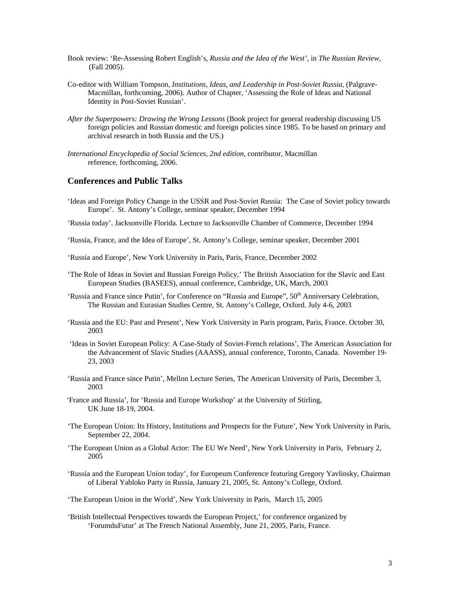- Book review: 'Re-Assessing Robert English's, *Russia and the Idea of the West'*, in *The Russian Review,*  (Fall 2005).
- Co-editor with William Tompson*, Institutions, Ideas, and Leadership in Post-Soviet Russia,* (Palgrave-Macmillan, forthcoming, 2006). Author of Chapter, 'Assessing the Role of Ideas and National Identity in Post-Soviet Russian'.
- *After the Superpowers: Drawing the Wrong Lessons* (Book project for general readership discussing US foreign policies and Russian domestic and foreign policies since 1985. To be based on primary and archival research in both Russia and the US.)
- *International Encyclopedia of Social Sciences, 2nd edition*, contributor, Macmillan reference, forthcoming, 2006.

## **Conferences and Public Talks**

'Ideas and Foreign Policy Change in the USSR and Post-Soviet Russia: The Case of Soviet policy towards Europe'. St. Antony's College, seminar speaker, December 1994

'Russia today'. Jacksonville Florida. Lecture to Jacksonville Chamber of Commerce, December 1994

'Russia, France, and the Idea of Europe', St. Antony's College, seminar speaker, December 2001

'Russia and Europe', New York University in Paris, Paris, France, December 2002

- 'The Role of Ideas in Soviet and Russian Foreign Policy,' The British Association for the Slavic and East European Studies (BASEES), annual conference, Cambridge, UK, March, 2003
- 'Russia and France since Putin', for Conference on "Russia and Europe", 50<sup>th</sup> Anniversary Celebration, The Russian and Eurasian Studies Centre, St. Antony's College, Oxford. July 4-6, 2003
- 'Russia and the EU: Past and Present', New York University in Paris program, Paris, France. October 30, 2003
- 'Ideas in Soviet European Policy: A Case-Study of Soviet-French relations', The American Association for the Advancement of Slavic Studies (AAASS), annual conference, Toronto, Canada. November 19- 23, 2003
- 'Russia and France since Putin', Mellon Lecture Series, The American University of Paris, December 3, 2003
- 'France and Russia', for 'Russia and Europe Workshop' at the University of Stirling, UK June 18-19, 2004.
- 'The European Union: Its History, Institutions and Prospects for the Future', New York University in Paris, September 22, 2004.
- 'The European Union as a Global Actor: The EU We Need', New York University in Paris, February 2, 2005
- 'Russia and the European Union today', for Europeum Conference featuring Gregory Yavlinsky, Chairman of Liberal Yabloko Party in Russia, January 21, 2005, St. Antony's College, Oxford.

'The European Union in the World', New York University in Paris, March 15, 2005

'British Intellectual Perspectives towards the European Project,' for conference organized by 'ForumduFutur' at The French National Assembly, June 21, 2005, Paris, France.